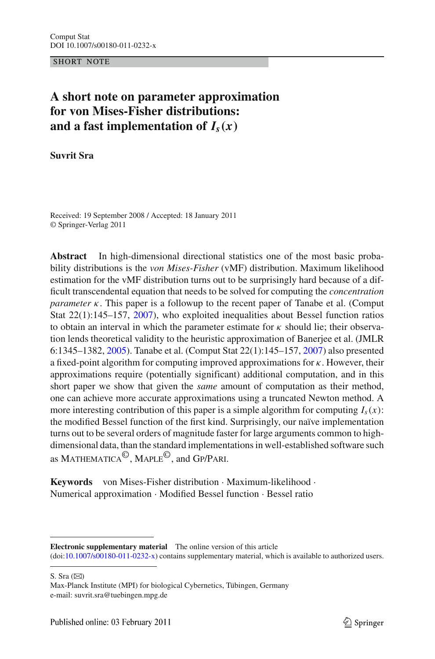SHORT NOTE

# **A short note on parameter approximation for von Mises-Fisher distributions:** and a fast implementation of  $I_s(x)$

**Suvrit Sra**

Received: 19 September 2008 / Accepted: 18 January 2011 © Springer-Verlag 2011

**Abstract** In high-dimensional directional statistics one of the most basic probability distributions is the *von Mises-Fisher* (vMF) distribution. Maximum likelihood estimation for the vMF distribution turns out to be surprisingly hard because of a difficult transcendental equation that needs to be solved for computing the *concentration parameter*  $\kappa$ . This paper is a followup to the recent paper of Tanabe et al. (Comput Stat 22(1):145–157, [2007\)](#page-13-0), who exploited inequalities about Bessel function ratios to obtain an interval in which the parameter estimate for  $\kappa$  should lie; their observation lends theoretical validity to the heuristic approximation of Banerjee et al. (JMLR 6:1345–1382, [2005\)](#page-12-0). Tanabe et al. (Comput Stat 22(1):145–157, [2007](#page-13-0)) also presented a fixed-point algorithm for computing improved approximations for  $\kappa$ . However, their approximations require (potentially significant) additional computation, and in this short paper we show that given the *same* amount of computation as their method, one can achieve more accurate approximations using a truncated Newton method. A more interesting contribution of this paper is a simple algorithm for computing  $I_s(x)$ : the modified Bessel function of the first kind. Surprisingly, our naïve implementation turns out to be several orders of magnitude faster for large arguments common to highdimensional data, than the standard implementations in well-established software such as Mathematica©, Maple©, and Gp/Pari.

**Keywords** von Mises-Fisher distribution · Maximum-likelihood · Numerical approximation · Modified Bessel function · Bessel ratio

S. Sra  $(\boxtimes)$ 

**Electronic supplementary material** The online version of this article (doi[:10.1007/s00180-011-0232-x\)](http://dx.doi.org/10.1007/s00180-011-0232-x) contains supplementary material, which is available to authorized users.

Max-Planck Institute (MPI) for biological Cybernetics, Tübingen, Germany e-mail: suvrit.sra@tuebingen.mpg.de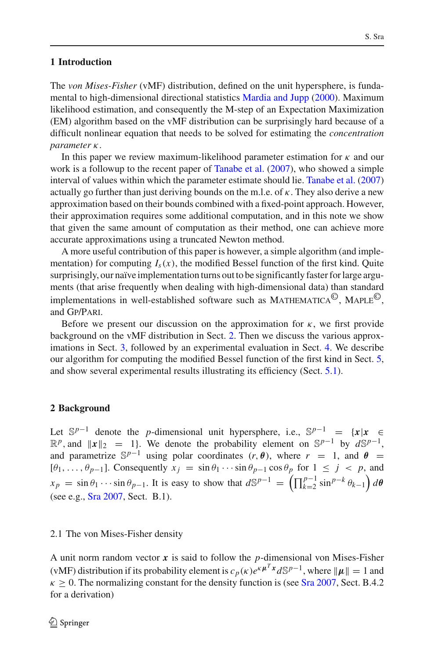# **1 Introduction**

The *von Mises-Fisher* (vMF) distribution, defined on the unit hypersphere, is fundamental to high-dimensional directional statistics [Mardia and Jupp](#page-12-1) [\(2000](#page-12-1)). Maximum likelihood estimation, and consequently the M-step of an Expectation Maximization (EM) algorithm based on the vMF distribution can be surprisingly hard because of a difficult nonlinear equation that needs to be solved for estimating the *concentration parameter* κ.

In this paper we review maximum-likelihood parameter estimation for  $\kappa$  and our work is a followup to the recent paper of [Tanabe et al.](#page-13-0) [\(2007](#page-13-0)), who showed a simple interval of values within which the parameter estimate should lie. [Tanabe et al.](#page-13-0) [\(2007\)](#page-13-0) actually go further than just deriving bounds on the m.l.e. of  $\kappa$ . They also derive a new approximation based on their bounds combined with a fixed-point approach. However, their approximation requires some additional computation, and in this note we show that given the same amount of computation as their method, one can achieve more accurate approximations using a truncated Newton method.

A more useful contribution of this paper is however, a simple algorithm (and implementation) for computing  $I_s(x)$ , the modified Bessel function of the first kind. Quite surprisingly, our naïve implementation turns out to be significantly faster for large arguments (that arise frequently when dealing with high-dimensional data) than standard implementations in well-established software such as MATHEMATICA<sup>©</sup>, MAPLE<sup>©</sup>. and Gp/Pari.

Before we present our discussion on the approximation for  $\kappa$ , we first provide background on the vMF distribution in Sect. [2.](#page-1-0) Then we discuss the various approximations in Sect. [3,](#page-3-0) followed by an experimental evaluation in Sect. [4.](#page-5-0) We describe our algorithm for computing the modified Bessel function of the first kind in Sect. [5,](#page-7-0) and show several experimental results illustrating its efficiency (Sect. [5.1\)](#page-10-0).

# <span id="page-1-0"></span>**2 Background**

Let  $\mathbb{S}^{p-1}$  denote the *p*-dimensional unit hypersphere, i.e.,  $\mathbb{S}^{p-1} = \{x | x \in \mathbb{S}^{p-1}\}$  $\mathbb{R}^p$ , and  $\|\mathbf{x}\|_2 = 1$ . We denote the probability element on  $\mathbb{S}^{p-1}$  by  $d\mathbb{S}^{p-1}$ , and parametrize  $\mathbb{S}^{p-1}$  using polar coordinates  $(r, \theta)$ , where  $r = 1$ , and  $\theta =$  $[\theta_1, \ldots, \theta_{p-1}]$ . Consequently  $x_j = \sin \theta_1 \cdots \sin \theta_{p-1} \cos \theta_p$  for  $1 \leq j \leq p$ , and  $x_p = \sin \theta_1 \cdots \sin \theta_{p-1}$ . It is easy to show that  $d\mathbb{S}^{p-1} = \left(\prod_{k=2}^{p-1} \sin^{p-k} \theta_{k-1}\right) d\theta$ (see e.g., [Sra 2007](#page-13-1), Sect. B.1).

# 2.1 The von Mises-Fisher density

A unit norm random vector *x* is said to follow the *p*-dimensional von Mises-Fisher (vMF) distribution if its probability element is  $c_p(k)e^{k\mu^T x}d\mathbb{S}^{p-1}$ , where  $||\mu|| = 1$  and  $\kappa > 0$ . The normalizing constant for the density function is (see [Sra 2007,](#page-13-1) Sect. B.4.2) for a derivation)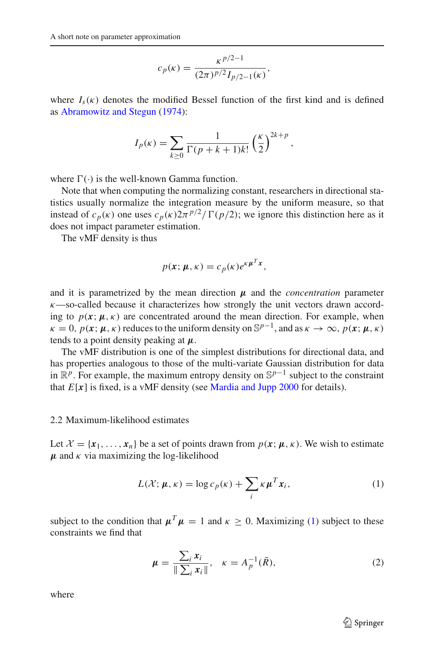$$
c_p(\kappa) = \frac{\kappa^{p/2 - 1}}{(2\pi)^{p/2} I_{p/2 - 1}(\kappa)},
$$

where  $I_s(\kappa)$  denotes the modified Bessel function of the first kind and is defined as [Abramowitz and Stegun](#page-12-2) [\(1974\)](#page-12-2):

$$
I_p(\kappa) = \sum_{k \ge 0} \frac{1}{\Gamma(p+k+1)k!} \left(\frac{\kappa}{2}\right)^{2k+p},
$$

where  $\Gamma(\cdot)$  is the well-known Gamma function.

Note that when computing the normalizing constant, researchers in directional statistics usually normalize the integration measure by the uniform measure, so that instead of  $c_p(\kappa)$  one uses  $c_p(\kappa)2\pi^{p/2}/\Gamma(p/2)$ ; we ignore this distinction here as it does not impact parameter estimation.

The vMF density is thus

$$
p(\mathbf{x}; \boldsymbol{\mu}, \kappa) = c_p(\kappa) e^{\kappa \boldsymbol{\mu}^T \mathbf{x}},
$$

and it is parametrized by the mean direction  $\mu$  and the *concentration* parameter  $\kappa$ —so-called because it characterizes how strongly the unit vectors drawn according to  $p(x; \mu, \kappa)$  are concentrated around the mean direction. For example, when  $\kappa = 0$ ,  $p(\mathbf{x}; \mu, \kappa)$  reduces to the uniform density on  $\mathbb{S}^{p-1}$ , and as  $\kappa \to \infty$ ,  $p(\mathbf{x}; \mu, \kappa)$ tends to a point density peaking at *μ*.

The vMF distribution is one of the simplest distributions for directional data, and has properties analogous to those of the multi-variate Gaussian distribution for data in  $\mathbb{R}^p$ . For example, the maximum entropy density on  $\mathbb{S}^{p-1}$  subject to the constraint that  $E[x]$  is fixed, is a vMF density (see [Mardia and Jupp 2000](#page-12-1) for details).

## 2.2 Maximum-likelihood estimates

Let  $\mathcal{X} = \{x_1, \ldots, x_n\}$  be a set of points drawn from  $p(x; \mu, \kappa)$ . We wish to estimate  $\mu$  and  $\kappa$  via maximizing the log-likelihood

$$
L(\mathcal{X}; \boldsymbol{\mu}, \kappa) = \log c_p(\kappa) + \sum_i \kappa \boldsymbol{\mu}^T \boldsymbol{x}_i,
$$
 (1)

<span id="page-2-0"></span>subject to the condition that  $\mu^T \mu = 1$  and  $\kappa > 0$ . Maximizing [\(1\)](#page-2-0) subject to these constraints we find that

$$
\mu = \frac{\sum_{i} x_i}{\|\sum_{i} x_i\|}, \quad \kappa = A_p^{-1}(\bar{R}), \tag{2}
$$

where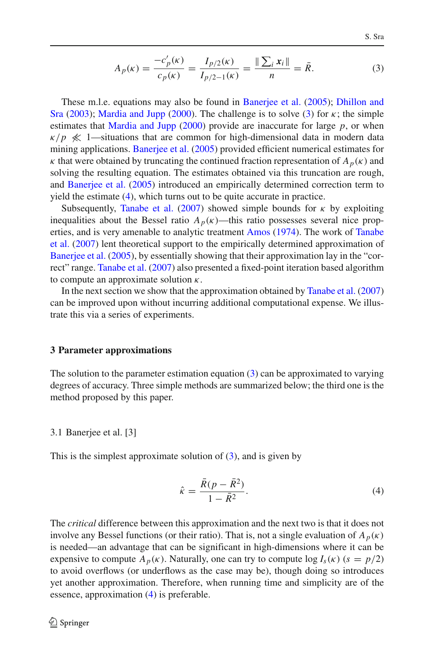$$
A_p(\kappa) = \frac{-c_p'(\kappa)}{c_p(\kappa)} = \frac{I_{p/2}(\kappa)}{I_{p/2-1}(\kappa)} = \frac{\|\sum_i x_i\|}{n} = \bar{R}.
$$
 (3)

<span id="page-3-1"></span>[These](#page-12-3) [m.l.e.](#page-12-3) [equations](#page-12-3) [may](#page-12-3) [also](#page-12-3) [be](#page-12-3) [found](#page-12-3) [in](#page-12-3) [Banerjee et al.](#page-12-0) [\(2005\)](#page-12-0); Dhillon and Sra [\(2003](#page-12-3)); [Mardia and Jupp](#page-12-1) [\(2000](#page-12-1)). The challenge is to solve [\(3\)](#page-3-1) for  $\kappa$ ; the simple estimates that [Mardia and Jupp](#page-12-1) [\(2000\)](#page-12-1) provide are inaccurate for large  $p$ , or when  $\kappa/p \ll 1$ —situations that are common for high-dimensional data in modern data mining applications. [Banerjee et al.](#page-12-0) [\(2005\)](#page-12-0) provided efficient numerical estimates for  $\kappa$  that were obtained by truncating the continued fraction representation of  $A_p(\kappa)$  and solving the resulting equation. The estimates obtained via this truncation are rough, and [Banerjee et al.](#page-12-0) [\(2005\)](#page-12-0) introduced an empirically determined correction term to yield the estimate [\(4\)](#page-3-2), which turns out to be quite accurate in practice.

Subsequently, [Tanabe et al.](#page-13-0) [\(2007\)](#page-13-0) showed simple bounds for  $\kappa$  by exploiting inequalities about the Bessel ratio  $A_p(\kappa)$ —this ratio possesses several nice propertie[s,](#page-13-0) [and](#page-13-0) [is](#page-13-0) [very](#page-13-0) [amenable](#page-13-0) [to](#page-13-0) [analytic](#page-13-0) [treatment](#page-13-0) [Amos](#page-12-4) [\(1974](#page-12-4)). The work of Tanabe et al. [\(2007](#page-13-0)) lent theoretical support to the empirically determined approximation of [Banerjee et al.](#page-12-0) [\(2005](#page-12-0)), by essentially showing that their approximation lay in the "correct" range. [Tanabe et al.](#page-13-0) [\(2007\)](#page-13-0) also presented a fixed-point iteration based algorithm to compute an approximate solution  $\kappa$ .

In the next section we show that the approximation obtained by [Tanabe et al.](#page-13-0) [\(2007\)](#page-13-0) can be improved upon without incurring additional computational expense. We illustrate this via a series of experiments.

## <span id="page-3-0"></span>**3 Parameter approximations**

The solution to the parameter estimation equation [\(3\)](#page-3-1) can be approximated to varying degrees of accuracy. Three simple methods are summarized below; the third one is the method proposed by this paper.

#### 3.1 Banerjee et al. [3]

This is the simplest approximate solution of  $(3)$ , and is given by

$$
\hat{\kappa} = \frac{\bar{R}(p - \bar{R}^2)}{1 - \bar{R}^2}.
$$
\n(4)

<span id="page-3-2"></span>The *critical* difference between this approximation and the next two is that it does not involve any Bessel functions (or their ratio). That is, not a single evaluation of  $A_p(\kappa)$ is needed—an advantage that can be significant in high-dimensions where it can be expensive to compute  $A_p(\kappa)$ . Naturally, one can try to compute  $\log I_s(\kappa)$  ( $s = p/2$ ) to avoid overflows (or underflows as the case may be), though doing so introduces yet another approximation. Therefore, when running time and simplicity are of the essence, approximation [\(4\)](#page-3-2) is preferable.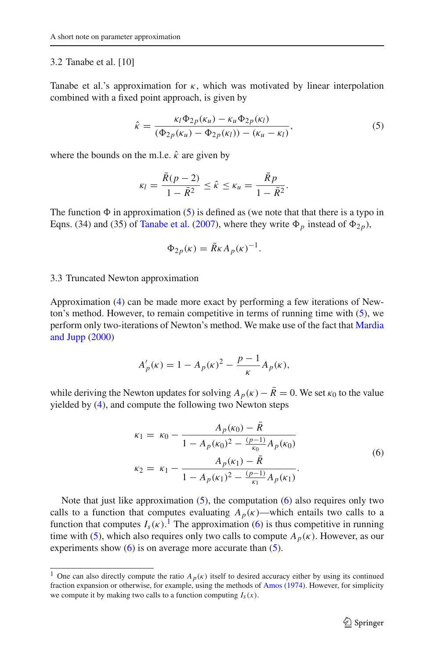## 3.2 Tanabe et al. [10]

Tanabe et al.'s approximation for  $\kappa$ , which was motivated by linear interpolation combined with a fixed point approach, is given by

$$
\hat{\kappa} = \frac{\kappa_l \Phi_{2p}(\kappa_u) - \kappa_u \Phi_{2p}(\kappa_l)}{(\Phi_{2p}(\kappa_u) - \Phi_{2p}(\kappa_l)) - (\kappa_u - \kappa_l)},
$$
\n(5)

<span id="page-4-0"></span>where the bounds on the m.l.e.  $\hat{k}$  are given by

$$
\kappa_l = \frac{\bar{R}(p-2)}{1-\bar{R}^2} \leq \hat{\kappa} \leq \kappa_u = \frac{\bar{R}p}{1-\bar{R}^2}.
$$

The function  $\Phi$  in approximation [\(5\)](#page-4-0) is defined as (we note that that there is a typo in Eqns. (34) and (35) of [Tanabe et al.](#page-13-0) [\(2007\)](#page-13-0), where they write  $\Phi_p$  instead of  $\Phi_{2p}$ ),

$$
\Phi_{2p}(\kappa) = \bar{R}\kappa A_p(\kappa)^{-1}.
$$

# 3.3 Truncated Newton approximation

Approximation [\(4\)](#page-3-2) can be made more exact by performing a few iterations of Newton's method. However, to remain competitive in terms of running time with [\(5\)](#page-4-0), we perform [only](#page-12-1) [two-iterations](#page-12-1) [of](#page-12-1) [Newton's](#page-12-1) [method.](#page-12-1) [We](#page-12-1) [make](#page-12-1) [use](#page-12-1) [of](#page-12-1) [the](#page-12-1) [fact](#page-12-1) [that](#page-12-1) Mardia and Jupp [\(2000](#page-12-1))

$$
A'_{p}(\kappa) = 1 - A_{p}(\kappa)^{2} - \frac{p-1}{\kappa} A_{p}(\kappa),
$$

<span id="page-4-1"></span>while deriving the Newton updates for solving  $A_p(\kappa) - \bar{R} = 0$ . We set  $\kappa_0$  to the value yielded by [\(4\)](#page-3-2), and compute the following two Newton steps

$$
\kappa_1 = \kappa_0 - \frac{A_p(\kappa_0) - \bar{R}}{1 - A_p(\kappa_0)^2 - \frac{(p-1)}{\kappa_0} A_p(\kappa_0)}
$$
  

$$
\kappa_2 = \kappa_1 - \frac{A_p(\kappa_1) - \bar{R}}{1 - A_p(\kappa_1)^2 - \frac{(p-1)}{\kappa_1} A_p(\kappa_1)}.
$$
 (6)

Note that just like approximation  $(5)$ , the computation  $(6)$  also requires only two calls to a function that computes evaluating  $A_p(\kappa)$ —which entails two calls to a function that computes  $I_s(\kappa)$ .<sup>[1](#page-4-2)</sup> The approximation [\(6\)](#page-4-1) is thus competitive in running time with [\(5\)](#page-4-0), which also requires only two calls to compute  $A_p(\kappa)$ . However, as our experiments show  $(6)$  is on average more accurate than  $(5)$ .

<span id="page-4-2"></span><sup>&</sup>lt;sup>1</sup> One can also directly compute the ratio  $A_p(\kappa)$  itself to desired accuracy either by using its continued fraction expansion or otherwise, for example, using the methods of [Amos](#page-12-4) [\(1974\)](#page-12-4). However, for simplicity we compute it by making two calls to a function computing  $I_s(x)$ .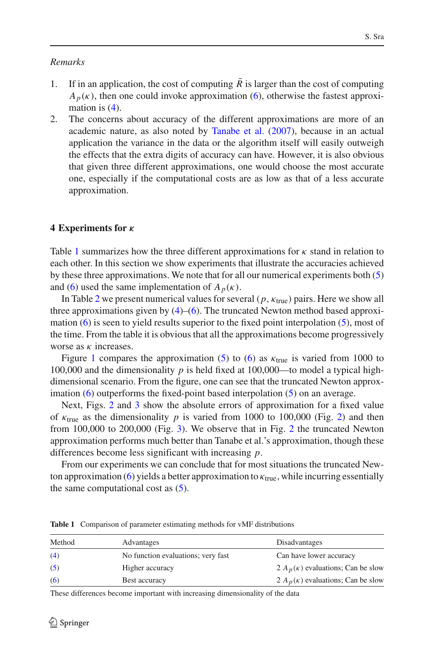# *Remarks*

- 1. If in an application, the cost of computing  $R$  is larger than the cost of computing  $A_p(k)$ , then one could invoke approximation [\(6\)](#page-4-1), otherwise the fastest approximation is  $(4)$ .
- 2. The concerns about accuracy of the different approximations are more of an academic nature, as also noted by [Tanabe et al.](#page-13-0) [\(2007](#page-13-0)), because in an actual application the variance in the data or the algorithm itself will easily outweigh the effects that the extra digits of accuracy can have. However, it is also obvious that given three different approximations, one would choose the most accurate one, especially if the computational costs are as low as that of a less accurate approximation.

# <span id="page-5-0"></span>**4 Experiments for** *κ*

Table [1](#page-5-1) summarizes how the three different approximations for  $\kappa$  stand in relation to each other. In this section we show experiments that illustrate the accuracies achieved by these three approximations. We note that for all our numerical experiments both [\(5\)](#page-4-0) and [\(6\)](#page-4-1) used the same implementation of  $A_p(\kappa)$ .

In Table [2](#page-6-0) we present numerical values for several  $(p, \kappa_{true})$  pairs. Here we show all three approximations given by  $(4)$ – $(6)$ . The truncated Newton method based approximation [\(6\)](#page-4-1) is seen to yield results superior to the fixed point interpolation [\(5\)](#page-4-0), most of the time. From the table it is obvious that all the approximations become progressively worse as  $\kappa$  increases.

Figure [1](#page-7-1) compares the approximation [\(5\)](#page-4-0) to [\(6\)](#page-4-1) as  $k_{true}$  is varied from 1000 to 100,000 and the dimensionality *p* is held fixed at 100,000—to model a typical highdimensional scenario. From the figure, one can see that the truncated Newton approximation  $(6)$  outperforms the fixed-point based interpolation  $(5)$  on an average.

Next, Figs. [2](#page-8-0) and [3](#page-8-1) show the absolute errors of approximation for a fixed value of  $\kappa_{true}$  as the dimensionality p is varied from 1000 to 100,000 (Fig. [2\)](#page-8-0) and then from 100,000 to 200,000 (Fig. [3\)](#page-8-1). We observe that in Fig. [2](#page-8-0) the truncated Newton approximation performs much better than Tanabe et al.'s approximation, though these differences become less significant with increasing *p*.

From our experiments we can conclude that for most situations the truncated New-ton approximation [\(6\)](#page-4-1) yields a better approximation to  $\kappa_{true}$ , while incurring essentially the same computational cost as  $(5)$ .

| Method | Advantages                         | Disadvantages                            |  |  |
|--------|------------------------------------|------------------------------------------|--|--|
| (4)    | No function evaluations; very fast | Can have lower accuracy                  |  |  |
| (5)    | Higher accuracy                    | 2 $A_n(\kappa)$ evaluations; Can be slow |  |  |
| (6)    | Best accuracy                      | 2 $A_p(\kappa)$ evaluations; Can be slow |  |  |

<span id="page-5-1"></span>**Table 1** Comparison of parameter estimating methods for vMF distributions

These differences become important with increasing dimensionality of the data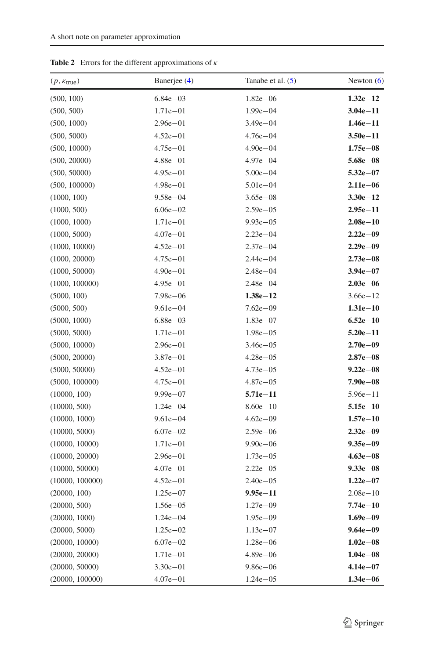| $(p, \kappa_{true})$ | Banerjee (4) | Tanabe et al. $(5)$ | Newton $(6)$ |
|----------------------|--------------|---------------------|--------------|
| (500, 100)           | $6.84e - 03$ | $1.82e - 06$        | $1.32e-12$   |
| (500, 500)           | $1.71e - 01$ | $1.99e - 04$        | $3.04e - 11$ |
| (500, 1000)          | $2.96e - 01$ | $3.49e - 04$        | $1.46e - 11$ |
| (500, 5000)          | $4.52e - 01$ | $4.76e - 04$        | $3.50e - 11$ |
| (500, 10000)         | $4.75e - 01$ | $4.90e - 04$        | $1.75e - 08$ |
| (500, 20000)         | $4.88e - 01$ | $4.97e - 04$        | $5.68e - 08$ |
| (500, 50000)         | $4.95e - 01$ | $5.00e - 04$        | $5.32e - 07$ |
| (500, 100000)        | $4.98e - 01$ | $5.01e - 04$        | $2.11e-06$   |
| (1000, 100)          | $9.58e - 04$ | $3.65e - 08$        | $3.30e - 12$ |
| (1000, 500)          | $6.06e - 02$ | $2.59e - 05$        | $2.95e - 11$ |
| (1000, 1000)         | $1.71e - 01$ | $9.93e - 05$        | $2.08e - 10$ |
| (1000, 5000)         | $4.07e - 01$ | $2.23e - 04$        | $2.22e - 09$ |
| (1000, 10000)        | $4.52e - 01$ | $2.37e - 04$        | $2.29e - 09$ |
| (1000, 20000)        | $4.75e - 01$ | $2.44e - 04$        | $2.73e - 08$ |
| (1000, 50000)        | $4.90e - 01$ | $2.48e - 04$        | $3.94e - 07$ |
| (1000, 100000)       | $4.95e - 01$ | $2.48e - 04$        | $2.03e - 06$ |
| (5000, 100)          | $7.98e - 06$ | $1.38e - 12$        | $3.66e - 12$ |
| (5000, 500)          | $9.61e - 04$ | $7.62e - 09$        | $1.31e-10$   |
| (5000, 1000)         | $6.88e - 03$ | $1.83e - 07$        | $6.52e - 10$ |
| (5000, 5000)         | $1.71e - 01$ | $1.98e - 05$        | $5.20e - 11$ |
| (5000, 10000)        | $2.96e - 01$ | $3.46e - 05$        | $2.70e - 09$ |
| (5000, 20000)        | $3.87e - 01$ | $4.28e - 05$        | $2.87e - 08$ |
| (5000, 50000)        | $4.52e - 01$ | $4.73e - 05$        | $9.22e - 08$ |
| (5000, 100000)       | $4.75e - 01$ | $4.87e - 05$        | $7.90e - 08$ |
| (10000, 100)         | $9.99e - 07$ | $5.71e - 11$        | $5.96e - 11$ |
| (10000, 500)         | $1.24e - 04$ | $8.60e - 10$        | $5.15e - 10$ |
| (10000, 1000)        | $9.61e - 04$ | $4.62e - 09$        | $1.57e-10$   |
| (10000, 5000)        | $6.07e - 02$ | $2.59e - 06$        | $2.32e - 09$ |
| (10000, 10000)       | $1.71e - 01$ | $9.90e - 06$        | $9.35e - 09$ |
| (10000, 20000)       | $2.96e - 01$ | $1.73e - 05$        | $4.63e - 08$ |
| (10000, 50000)       | $4.07e - 01$ | $2.22e - 05$        | $9.33e - 08$ |
| (10000, 100000)      | $4.52e - 01$ | $2.40e - 05$        | $1.22e-07$   |
| (20000, 100)         | $1.25e - 07$ | $9.95e - 11$        | $2.08e - 10$ |
| (20000, 500)         | $1.56e - 05$ | $1.27e - 09$        | $7.74e - 10$ |
| (20000, 1000)        | $1.24e - 04$ | $1.95e - 09$        | $1.69e - 09$ |
| (20000, 5000)        | $1.25e - 02$ | $1.13e - 07$        | $9.64e - 09$ |
| (20000, 10000)       | $6.07e - 02$ | $1.28e - 06$        | $1.02e - 08$ |
| (20000, 20000)       | $1.71e - 01$ | $4.89e - 06$        | $1.04e - 08$ |
| (20000, 50000)       | $3.30e - 01$ | $9.86e - 06$        | $4.14e - 07$ |
| (20000, 100000)      | $4.07e - 01$ | $1.24e - 05$        | $1.34e - 06$ |

<span id="page-6-0"></span>**Table 2** Errors for the different approximations of  $\kappa$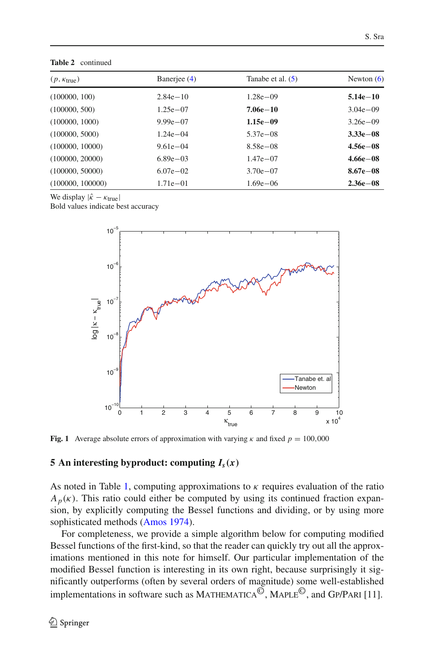| $(p, \kappa_{\text{true}})$ | Banerjee (4) | Tanabe et al. $(5)$ | Newton $(6)$  |
|-----------------------------|--------------|---------------------|---------------|
| (100000, 100)               | $2.84e - 10$ | $1.28e - 09$        | $5.14e - 10$  |
| (100000, 500)               | $1.25e - 07$ | $7.06e - 10$        | $3.04e - 09$  |
| (100000, 1000)              | $9.99e - 07$ | $1.15e - 09$        | $3.26e - 09$  |
| (100000, 5000)              | $1.24e - 04$ | $5.37e - 08$        | $3.33e - 08$  |
| (100000, 10000)             | $9.61e - 04$ | $8.58e - 08$        | $4.56e - 08$  |
| (100000, 20000)             | $6.89e - 03$ | $1.47e - 07$        | $4.66e - 08$  |
| (100000, 50000)             | $6.07e - 02$ | $3.70e - 07$        | $8.67e - 0.8$ |
| (100000, 100000)            | $1.71e - 01$ | $1.69e - 06$        | $2.36e - 08$  |

**Table 2** continued

We display  $|\hat{\kappa} - \kappa_{\text{true}}|$ 

Bold values indicate best accuracy



<span id="page-7-1"></span>**Fig. 1** Average absolute errors of approximation with varying  $\kappa$  and fixed  $p = 100,000$ 

## <span id="page-7-0"></span>**5 An interesting byproduct: computing**  $I_s(x)$

As noted in Table [1,](#page-5-1) computing approximations to  $\kappa$  requires evaluation of the ratio  $A_p(\kappa)$ . This ratio could either be computed by using its continued fraction expansion, by explicitly computing the Bessel functions and dividing, or by using more sophisticated methods [\(Amos 1974](#page-12-4)).

For completeness, we provide a simple algorithm below for computing modified Bessel functions of the first-kind, so that the reader can quickly try out all the approximations mentioned in this note for himself. Our particular implementation of the modified Bessel function is interesting in its own right, because surprisingly it significantly outperforms (often by several orders of magnitude) some well-established implementations in software such as MATHEMATICA<sup> $\overline{\odot}$ </sup>, MAPLE<sup> $\overline{\odot}$ </sup>, and GP/PARI [11].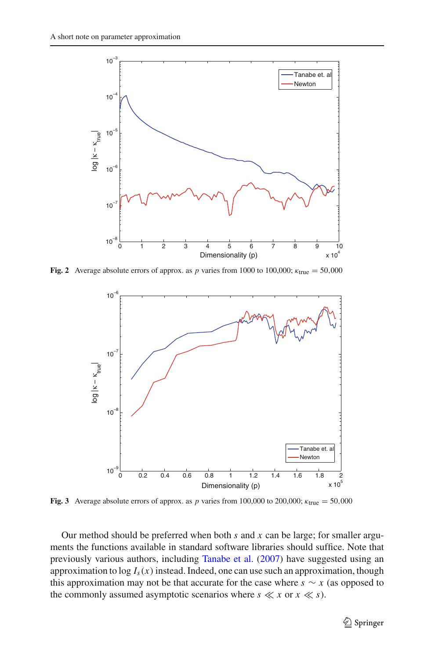

<span id="page-8-0"></span>**Fig. 2** Average absolute errors of approx. as *p* varies from 1000 to 100,000;  $\kappa_{true} = 50,000$ 



<span id="page-8-1"></span>**Fig. 3** Average absolute errors of approx. as *p* varies from 100,000 to 200,000;  $\kappa_{\text{true}} = 50,000$ 

Our method should be preferred when both *s* and *x* can be large; for smaller arguments the functions available in standard software libraries should suffice. Note that previously various authors, including [Tanabe et al.](#page-13-0) [\(2007\)](#page-13-0) have suggested using an approximation to  $\log I_s(x)$  instead. Indeed, one can use such an approximation, though this approximation may not be that accurate for the case where  $s \sim x$  (as opposed to the commonly assumed asymptotic scenarios where  $s \ll x$  or  $x \ll s$ ).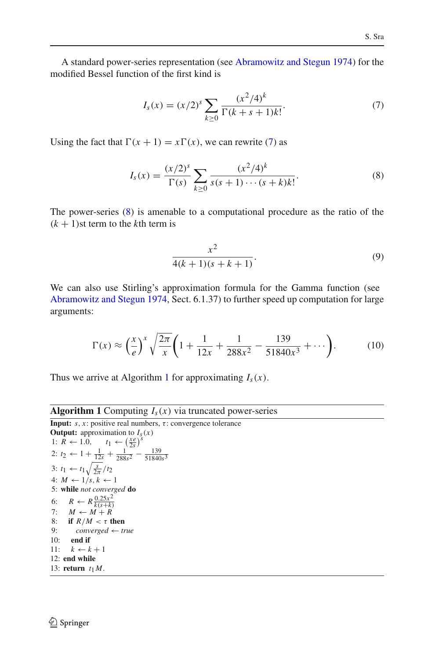A standard power-series representation (see [Abramowitz and Stegun 1974](#page-12-2)) for the modified Bessel function of the first kind is

$$
I_s(x) = (x/2)^s \sum_{k \ge 0} \frac{(x^2/4)^k}{\Gamma(k+s+1)k!}.
$$
 (7)

<span id="page-9-1"></span><span id="page-9-0"></span>Using the fact that  $\Gamma(x + 1) = x\Gamma(x)$ , we can rewrite [\(7\)](#page-9-0) as

$$
I_s(x) = \frac{(x/2)^s}{\Gamma(s)} \sum_{k \ge 0} \frac{(x^2/4)^k}{s(s+1)\cdots(s+k)k!}.
$$
 (8)

The power-series [\(8\)](#page-9-1) is amenable to a computational procedure as the ratio of the  $(k + 1)$ st term to the *k*th term is

$$
\frac{x^2}{4(k+1)(s+k+1)}.\t(9)
$$

We can also use Stirling's approximation formula for the Gamma function (see [Abramowitz and Stegun 1974,](#page-12-2) Sect. 6.1.37) to further speed up computation for large arguments:

$$
\Gamma(x) \approx \left(\frac{x}{e}\right)^x \sqrt{\frac{2\pi}{x}} \left(1 + \frac{1}{12x} + \frac{1}{288x^2} - \frac{139}{51840x^3} + \cdots \right). \tag{10}
$$

Thus we arrive at Algorithm [1](#page-9-2) for approximating *Is*(*x*).

## **Algorithm 1** Computing  $I_s(x)$  via truncated power-series

<span id="page-9-2"></span>**Input:**  $s, x$ : positive real numbers,  $\tau$ : convergence tolerance **Output:** approximation to  $I_s(x)$ 1:  $\overrightarrow{R} \leftarrow 1.0, \quad t_1 \leftarrow \left(\frac{x e}{2s}\right)^s$ 2: *t*<sub>2</sub> ← 1 +  $\frac{1}{12s}$  +  $\frac{1}{288s^2}$  −  $\frac{139}{51840s^3}$ 3:  $t_1 \leftarrow t_1 \sqrt{\frac{s}{2\pi}}/t_2$ 4:  $M \leftarrow 1/s, k \leftarrow 1$ 5: **while** *not converged* **do** 6:  $R \leftarrow R \frac{0.25x^2}{k(s+k)}$ 7:  $M \leftarrow M + R$ 8: **if**  $R/M < \tau$  **then**<br>9: *converged*  $\leftarrow tr$ 9: *converged* ← *true* 10: **end if** 11:  $k \leftarrow k + 1$ 12: **end while** 13: **return**  $t_1M$ .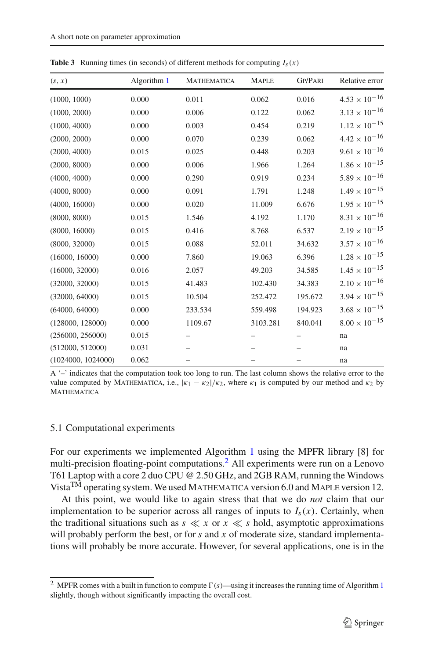| (s, x)             | Algorithm 1 | <b>MATHEMATICA</b> | <b>MAPLE</b> | <b>GP/PARI</b> | Relative error         |
|--------------------|-------------|--------------------|--------------|----------------|------------------------|
| (1000, 1000)       | 0.000       | 0.011              | 0.062        | 0.016          | $4.53 \times 10^{-16}$ |
| (1000, 2000)       | 0.000       | 0.006              | 0.122        | 0.062          | $3.13 \times 10^{-16}$ |
| (1000, 4000)       | 0.000       | 0.003              | 0.454        | 0.219          | $1.12 \times 10^{-15}$ |
| (2000, 2000)       | 0.000       | 0.070              | 0.239        | 0.062          | $4.42 \times 10^{-16}$ |
| (2000, 4000)       | 0.015       | 0.025              | 0.448        | 0.203          | $9.61 \times 10^{-16}$ |
| (2000, 8000)       | 0.000       | 0.006              | 1.966        | 1.264          | $1.86 \times 10^{-15}$ |
| (4000, 4000)       | 0.000       | 0.290              | 0.919        | 0.234          | $5.89 \times 10^{-16}$ |
| (4000, 8000)       | 0.000       | 0.091              | 1.791        | 1.248          | $1.49 \times 10^{-15}$ |
| (4000, 16000)      | 0.000       | 0.020              | 11.009       | 6.676          | $1.95 \times 10^{-15}$ |
| (8000, 8000)       | 0.015       | 1.546              | 4.192        | 1.170          | $8.31 \times 10^{-16}$ |
| (8000, 16000)      | 0.015       | 0.416              | 8.768        | 6.537          | $2.19 \times 10^{-15}$ |
| (8000, 32000)      | 0.015       | 0.088              | 52.011       | 34.632         | $3.57 \times 10^{-16}$ |
| (16000, 16000)     | 0.000       | 7.860              | 19.063       | 6.396          | $1.28\times10^{-15}$   |
| (16000, 32000)     | 0.016       | 2.057              | 49.203       | 34.585         | $1.45 \times 10^{-15}$ |
| (32000, 32000)     | 0.015       | 41.483             | 102.430      | 34.383         | $2.10 \times 10^{-16}$ |
| (32000, 64000)     | 0.015       | 10.504             | 252.472      | 195.672        | $3.94 \times 10^{-15}$ |
| (64000, 64000)     | 0.000       | 233.534            | 559.498      | 194.923        | $3.68 \times 10^{-15}$ |
| (128000, 128000)   | 0.000       | 1109.67            | 3103.281     | 840.041        | $8.00 \times 10^{-15}$ |
| (256000, 256000)   | 0.015       |                    |              |                | na                     |
| (512000, 512000)   | 0.031       |                    |              |                | na                     |
| (1024000, 1024000) | 0.062       |                    |              |                | na                     |

<span id="page-10-2"></span>**Table 3** Running times (in seconds) of different methods for computing  $I_s(x)$ 

A '–' indicates that the computation took too long to run. The last column shows the relative error to the value computed by MATHEMATICA, i.e.,  $|\kappa_1 - \kappa_2|/\kappa_2$ , where  $\kappa_1$  is computed by our method and  $\kappa_2$  by **MATHEMATICA** 

# <span id="page-10-0"></span>5.1 Computational experiments

For our experiments we implemented Algorithm [1](#page-9-2) using the MPFR library [8] for multi-precision floating-point computations[.2](#page-10-1) All experiments were run on a Lenovo T61 Laptop with a core 2 duo CPU @ 2.50 GHz, and 2GB RAM, running the Windows Vista<sup>TM</sup> operating system. We used MATHEMATICA version 6.0 and MAPLE version 12.

At this point, we would like to again stress that that we do *not* claim that our implementation to be superior across all ranges of inputs to  $I_s(x)$ . Certainly, when the traditional situations such as  $s \ll x$  or  $x \ll s$  hold, asymptotic approximations will probably perform the best, or for *s* and *x* of moderate size, standard implementations will probably be more accurate. However, for several applications, one is in the

<span id="page-10-1"></span><sup>&</sup>lt;sup>2</sup> MPFR comes with a built in function to compute  $\Gamma(s)$ —using it increases the running time of Algorithm [1](#page-9-2) slightly, though without significantly impacting the overall cost.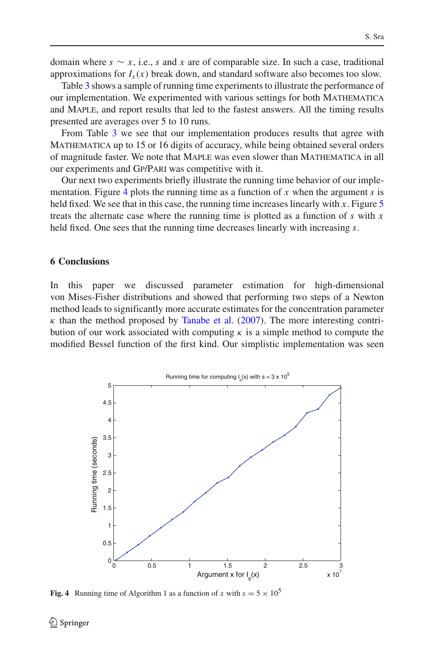domain where  $s \sim x$ , i.e., *s* and *x* are of comparable size. In such a case, traditional approximations for  $I_s(x)$  break down, and standard software also becomes too slow.

Table [3](#page-10-2) shows a sample of running time experiments to illustrate the performance of our implementation. We experimented with various settings for both Mathematica and Maple, and report results that led to the fastest answers. All the timing results presented are averages over 5 to 10 runs.

From Table [3](#page-10-2) we see that our implementation produces results that agree with MATHEMATICA up to 15 or 16 digits of accuracy, while being obtained several orders of magnitude faster. We note that Maple was even slower than Mathematica in all our experiments and Gp/Pari was competitive with it.

Our next two experiments briefly illustrate the running time behavior of our implementation. Figure [4](#page-11-0) plots the running time as a function of *x* when the argument *s* is held fixed. We see that in this case, the running time increases linearly with *x*. Figure [5](#page-12-5) treats the alternate case where the running time is plotted as a function of *s* with *x* held fixed. One sees that the running time decreases linearly with increasing *s*.

## **6 Conclusions**

In this paper we discussed parameter estimation for high-dimensional von Mises-Fisher distributions and showed that performing two steps of a Newton method leads to significantly more accurate estimates for the concentration parameter  $\kappa$  than the method proposed by [Tanabe et al.](#page-13-0) [\(2007](#page-13-0)). The more interesting contribution of our work associated with computing  $\kappa$  is a simple method to compute the modified Bessel function of the first kind. Our simplistic implementation was seen



<span id="page-11-0"></span>**Fig. 4** Running time of Algorithm 1 as a function of *x* with  $s = 5 \times 10^5$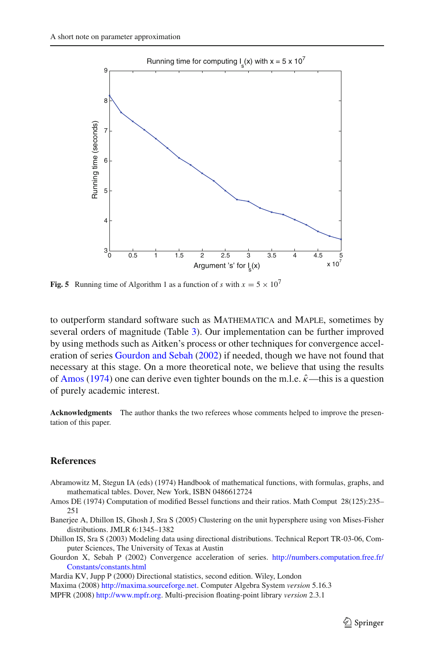

<span id="page-12-5"></span>**Fig. 5** Running time of Algorithm 1 as a function of *s* with  $x = 5 \times 10^7$ 

to outperform standard software such as Mathematica and Maple, sometimes by several orders of magnitude (Table [3\)](#page-10-2). Our implementation can be further improved by using methods such as Aitken's process or other techniques for convergence acceleration of series [Gourdon and Sebah](#page-12-6) [\(2002\)](#page-12-6) if needed, though we have not found that necessary at this stage. On a more theoretical note, we believe that using the results of [Amos](#page-12-4) [\(1974\)](#page-12-4) one can derive even tighter bounds on the m.l.e.  $\hat{\kappa}$ —this is a question of purely academic interest.

**Acknowledgments** The author thanks the two referees whose comments helped to improve the presentation of this paper.

## **References**

- <span id="page-12-2"></span>Abramowitz M, Stegun IA (eds) (1974) Handbook of mathematical functions, with formulas, graphs, and mathematical tables. Dover, New York, ISBN 0486612724
- <span id="page-12-4"></span>Amos DE (1974) Computation of modified Bessel functions and their ratios. Math Comput 28(125):235– 251
- <span id="page-12-0"></span>Banerjee A, Dhillon IS, Ghosh J, Sra S (2005) Clustering on the unit hypersphere using von Mises-Fisher distributions. JMLR 6:1345–1382
- <span id="page-12-3"></span>Dhillon IS, Sra S (2003) Modeling data using directional distributions. Technical Report TR-03-06, Computer Sciences, The University of Texas at Austin
- <span id="page-12-6"></span>Gourdon X, Sebah P (2002) Convergence acceleration of series. [http://numbers.computation.free.fr/](http://numbers.computation.free.fr/Constants/constants.html) [Constants/constants.html](http://numbers.computation.free.fr/Constants/constants.html)

<span id="page-12-1"></span>Mardia KV, Jupp P (2000) Directional statistics, second edition. Wiley, London

Maxima (2008) [http://maxima.sourceforge.net.](http://maxima.sourceforge.net) Computer Algebra System *version* 5.16.3

MPFR (2008) [http://www.mpfr.org.](http://www.mpfr.org) Multi-precision floating-point library *version* 2.3.1